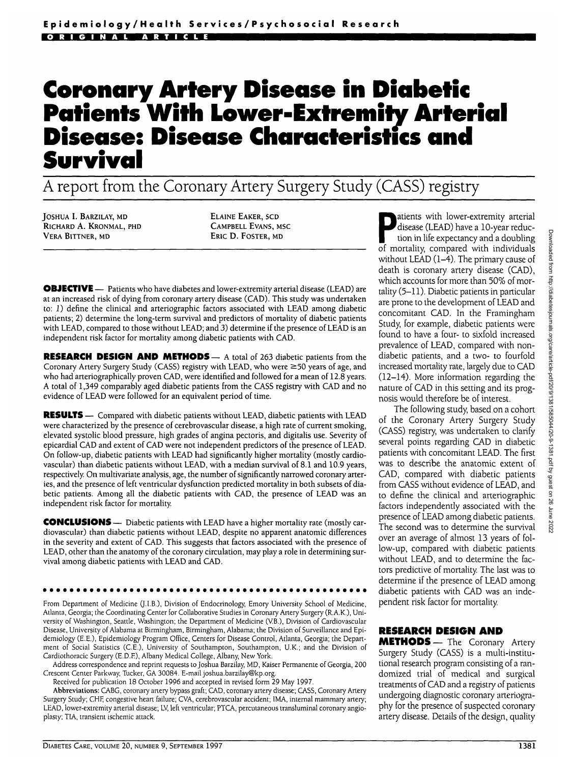# **Coronary Artery Disease in Diabetic Patients With Lower-Extremity Arterial Disease: Disease Characteristics and Survival**

A report from the Coronary Artery Surgery Study (CASS) registry

JOSHUA I. BARZILAY, MD RICHARD A. KRONMAL, PHD VERA BITTNER, MD

ELAINE EAKER, SCD CAMPBELL EVANS, MSC ERIC D. FOSTER, MD

**OBJECTIVE** — Patients who have diabetes and lower-extremity arterial disease (LEAD) are at an increased risk of dying from coronary artery disease (CAD). This study was undertaken to: 1) define the clinical and arteriographic factors associated with LEAD among diabetic patients; 2) determine the long-term survival and predictors of mortality of diabetic patients with LEAD, compared to those without LEAD; and 3) determine if the presence of LEAD is an independent risk factor for mortality among diabetic patients with CAD.

RESEARCH DESIGN AND METHODS - A total of 263 diabetic patients from the Coronary Artery Surgery Study (CASS) registry with LEAD, who were ^50 years of age, and who had arteriographically proven CAD, were identified and followed for a mean of 12.8 years. A total of 1,349 comparably aged diabetic patients from the CASS registry with CAD and no evidence of LEAD were followed for an equivalent period of time.

RESULTS — Compared with diabetic patients without LEAD, diabetic patients with LEAD were characterized by the presence of cerebrovascular disease, a high rate of current smoking, elevated systolic blood pressure, high grades of angina pectoris, and digitalis use. Severity of epicardial CAD and extent of CAD were not independent predictors of the presence of LEAD. On follow-up, diabetic patients with LEAD had significantly higher mortality (mostly cardiovascular) than diabetic patients without LEAD, with a median survival of 8.1 and 10.9 years, respectively. On multivariate analysis, age, the number of significantly narrowed coronary arteries, and the presence of left ventricular dysfunction predicted mortality in both subsets of diabetic patients. Among all the diabetic patients with CAD, the presence of LEAD was an independent risk factor for mortality.

CONCLUSIONS — Diabetic patients with LEAD have a higher mortality rate (mostly cardiovascular) than diabetic patients without LEAD, despite no apparent anatomic differences in the severity and extent of CAD. This suggests that factors associated with the presence of LEAD, other than the anatomy of the coronary circulation, may play a role in determining survival among diabetic patients with LEAD and CAD.

From Department of Medicine (J.I.B.), Division of Endocrinology, Emory University School of Medicine, Atlanta, Georgia; the Coordinating Center for Collaborative Studies in Coronary Artery Surgery (R.A.K.), University of Washington, Seattle, Washington; the Department of Medicine (V.B.), Division of Cardiovascular Disease, University of Alabama at Birmingham, Birmingham, Alabama; the Division of Surveillance and Epidemiology (E.E.), Epidemiology Program Office, Centers for Disease Control, Atlanta, Georgia; the Department of Social Statistics (C.E.), University of Southampton, Southampton, U.K.; and the Division of Cardiothoracic Surgery (E.D.E), Albany Medical College, Albany, New York.

Address correspondence and reprint requests to Joshua Barzilay, MD, Kaiser Permanente of Georgia, 200 Crescent Center Parkway, Tucker, GA 30084. E-mailjoshua.barzilay@kp.org.

Received for publication 18 October 1996 and accepted in revised form 29 May 1997.

Abbreviations: CABG, coronary artery bypass graft; CAD, coronary artery disease; CASS, Coronary Artery Surgery Study; CHE congestive heart failure; CVA, cerebrovascular accident; IMA, internal mammary artery; LEAD, lower-extremity arterial disease; LV, left ventricular; PTCA, percutaneous transluminal coronary angioplasty; TLA, transient ischemic attack.

atients with lower-extremity arterial<br>disease (LEAD) have a 10-year reduc-<br>tion in life expectancy and a doubling<br>of mortality, compared with individuals disease (LEAD) have a 10-year reduction in life expectancy and a doubling of mortality, compared with individuals without LEAD (1-4). The primary cause of death is coronary artery disease (CAD), which accounts for more than 50% of mortality (5-11). Diabetic patients in particular are prone to the development of LEAD and concomitant CAD. In the Framingham Study, for example, diabetic patients were found to have a four- to sixfold increased prevalence of LEAD, compared with nondiabetic patients, and a two- to fourfold increased mortality rate, largely due to CAD (12-14). More information regarding the nature of CAD in this setting and its prognosis would therefore be of interest.

The following study, based on a cohort of the Coronary Artery Surgery Study (CASS) registry, was undertaken to clarify several points regarding CAD in diabetic patients with concomitant LEAD. The first was to describe the anatomic extent of CAD, compared with diabetic patients from CASS without evidence of LEAD, and to define the clinical and arteriographic factors independently associated with the presence of LEAD among diabetic patients. The second was to determine the survival over an average of almost 13 years of follow-up, compared with diabetic patients without LEAD, and to determine the factors predictive of mortality. The last was to determine if the presence of LEAD among diabetic patients with CAD was an independent risk factor for mortality.

## RESEARCH DESIGN AND

**METHODS** — The Coronary Artery Surgery Study (CASS) is a multi-institutional research program consisting of a randomized trial of medical and surgical treatments of CAD and a registry of patients undergoing diagnostic coronary arteriography for the presence of suspected coronary artery disease. Details of the design, quality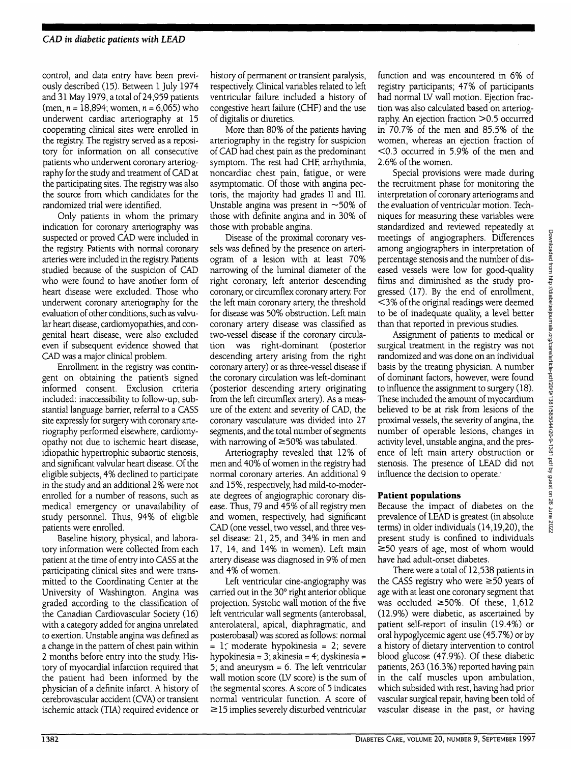control, and data entry have been previously described (15). Between 1 July 1974 and 31 May 1979, a total of 24,959 patients (men,  $n = 18,894$ ; women,  $n = 6,065$ ) who underwent cardiac arteriography at 15 cooperating clinical sites were enrolled in the registry. The registry served as a repository for information on all consecutive patients who underwent coronary arteriography for the study and treatment of CAD at the participating sites. The registry was also the source from which candidates for the randomized trial were identified.

Only patients in whom the primary indication for coronary arteriography was suspected or proved CAD were included in the registry. Patients with normal coronary arteries were included in the registry. Patients studied because of the suspicion of CAD who were found to have another form of heart disease were excluded. Those who underwent coronary arteriography for the evaluation of other conditions, such as valvular heart disease, cardiomyopathies, and congenital heart disease, were also excluded even if subsequent evidence showed that CAD was a major clinical problem.

Enrollment in the registry was contingent on obtaining the patient's signed informed consent. Exclusion criteria included: inaccessibility to follow-up, substantial language barrier, referral to a CASS site expressly for surgery with coronary arteriography performed elsewhere, cardiomyopathy not due to ischemic heart disease, idiopathic hypertrophic subaortic stenosis, and significant valvular heart disease. Of the eligible subjects, 4% declined to participate in the study and an additional 2% were not enrolled for a number of reasons, such as medical emergency or unavailability of study personnel. Thus, 94% of eligible patients were enrolled.

Baseline history, physical, and laboratory information were collected from each patient at the time of entry into CASS at the participating clinical sites and were transmitted to the Coordinating Center at the University of Washington. Angina was graded according to the classification of the Canadian Cardiovascular Society (16) with a category added for angina unrelated to exertion. Unstable angina was defined as a change in the pattern of chest pain within 2 months before entry into the study. History of myocardial infarction required that the patient had been informed by the physician of a definite infarct. A history of cerebrovascular accident (CVA) or transient ischemic attack (T1A) required evidence or history of permanent or transient paralysis, respectively. Clinical variables related to left ventricular failure included a history of congestive heart failure (CHF) and the use of digitalis or diuretics.

More than 80% of the patients having arteriography in the registry for suspicion of CAD had chest pain as the predominant symptom. The rest had CHF, arrhythmia, noncardiac chest pain, fatigue, or were asymptomatic. Of those with angina pectoris, the majority had grades II and III. Unstable angina was present in ~50% of those with definite angina and in 30% of those with probable angina.

Disease of the proximal coronary vessels was defined by the presence on arteriogram of a lesion with at least 70% narrowing of the luminal diameter of the right coronary, left anterior descending coronary, or circumflex coronary artery. For the left main coronary artery, the threshold for disease was 50% obstruction. Left main coronary artery disease was classified as two-vessel disease if the coronary circulation was right-dominant (posterior descending artery arising from the right coronary artery) or as three-vessel disease if the coronary circulation was left-dominant (posterior descending artery originating from the left circumflex artery). As a measure of the extent and severity of CAD, the coronary vasculature was divided into 27 segments, and the total number of segments with narrowing of  $\geq$ 50% was tabulated.

Arteriography revealed that 12% of men and 40% of women in the registry had normal coronary arteries. An additional 9 and 15%, respectively, had mild-to-moderate degrees of angiographic coronary disease. Thus, 79 and 45% of all registry men and women, respectively, had significant CAD (one vessel, two vessel, and three vessel disease: 21, 25, and 34% in men and 17, 14, and 14% in women). Left main artery disease was diagnosed in 9% of men and 4% of women.

Left ventricular cine-angiography was carried out in the 30° right anterior oblique projection. Systolic wall motion of the five left ventricular wall segments (anterobasal, anterolateral, apical, diaphragmatic, and posterobasal) was scored as follows: normal  $= 1$ ; moderate hypokinesia  $= 2$ ; severe hypokinesia = 3; akinesia = 4; dyskinesia = 5; and aneurysm = 6. The left ventricular wall motion score (LV score) is the sum of the segmental scores. A score of 5 indicates normal ventricular function. A score of  $\geq$ 15 implies severely disturbed ventricular

function and was encountered in 6% of registry participants; 47% of participants had normal LV wall motion. Ejection fraction was also calculated based on arteriography. An ejection fraction >0.5 occurred in 70.7% of the men and 85.5% of the women, whereas an ejection fraction of <0.3 occurred in 5.9% of the men and 2.6% of the women.

Special provisions were made during the recruitment phase for monitoring the interpretation of coronary arteriograms and the evaluation of ventricular motion. Techniques for measuring these variables were standardized and reviewed repeatedly at meetings of angiographers. Differences among angiographers in interpretation of percentage stenosis and the number of diseased vessels were low for good-quality films and diminished as the study progressed (17). By the end of enrollment, <3% of the original readings were deemed to be of inadequate quality, a level better than that reported in previous studies.

Assignment of patients to medical or surgical treatment in the registry was not randomized and was done on an individual basis by the treating physician. A number of dominant factors, however, were found to influence the assignment to surgery (18). These included the amount of myocardium believed to be at risk from lesions of the proximal vessels, the severity of angina, the number of operable lesions, changes in activity level, unstable angina, and the presence of left main artery obstruction or stenosis. The presence of LEAD did not influence the decision to operate;

## **Patient populations**

Because the impact of diabetes on the prevalence of LEAD is greatest (in absolute terms) in older individuals (14,19,20), the present study is confined to individuals  $\geq$ 50 years of age, most of whom would have had adult-onset diabetes.

There were a total of 12,538 patients in the CASS registry who were  $\geq 50$  years of age with at least one coronary segment that was occluded  $\geq 50\%$ . Of these, 1,612 (12.9%) were diabetic, as ascertained by patient self-report of insulin (19.4%) or oral hypoglycemic agent use (45.7%) or by a history of dietary intervention to control blood glucose (47.9%). Of these diabetic patients, 263 (16.3%) reported having pain in the calf muscles upon ambulation, which subsided with rest, having had prior vascular surgical repair, having been told of vascular disease in the past, or having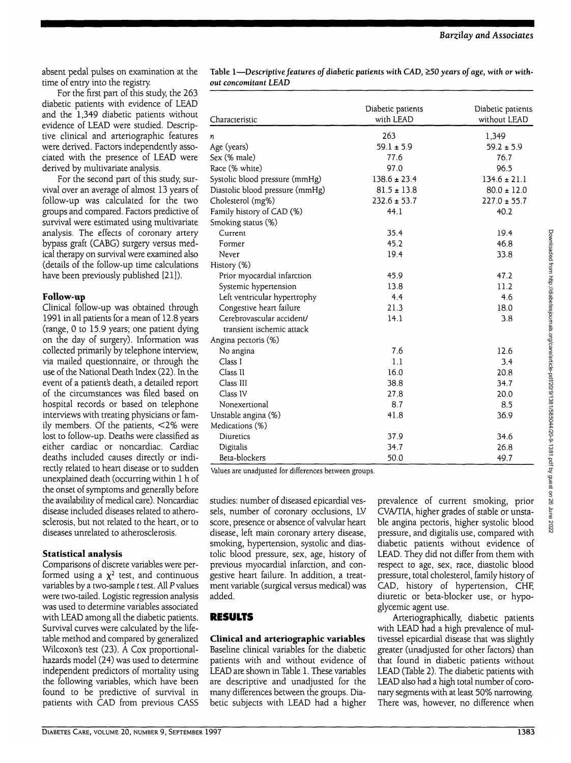absent pedal pulses on examination at the time of entry into the registry.

For the first part of this study, the 263 diabetic patients with evidence of LEAD and the 1,349 diabetic patients without evidence of LEAD were studied. Descriptive clinical and arteriographic features were derived. Factors independently associated with the presence of LEAD were derived by multivariate analysis.

For the second part of this study, survival over an average of almost 13 years of follow-up was calculated for the two groups and compared. Factors predictive of survival were estimated using multivariate analysis. The effects of coronary artery bypass graft (CABG) surgery versus medical therapy on survival were examined also (details of the follow-up time calculations have been previously published [21]).

#### **Follow-up**

Clinical follow-up was obtained through 1991 in all patients for a mean of 12.8 years (range, 0 to 15.9 years; one patient dying on the day of surgery). Information was collected primarily by telephone interview, via mailed questionnaire, or through the use of the National Death Index (22). In the event of a patient's death, a detailed report of the circumstances was filed based on hospital records or based on telephone interviews with treating physicians or family members. Of the patients, *<2%* were lost to follow-up. Deaths were classified as either cardiac or noncardiac. Cardiac deaths included causes directly or indirectly related to heart disease or to sudden unexplained death (occurring within 1 h of the onset of symptoms and generally before the availability of medical care). Noncardiac disease included diseases related to atherosclerosis, but not related to the heart, or to diseases unrelated to atherosclerosis.

## **Statistical analysis**

Comparisons of discrete variables were performed using a  $\chi^2$  test, and continuous variables by a two-sample *t* test. All P values were two-tailed. Logistic regression analysis was used to determine variables associated with LEAD among all the diabetic patients. Survival curves were calculated by the lifetable method and compared by generalized Wilcoxon's test (23). A Cox proportionalhazards model (24) was used to determine independent predictors of mortality using the following variables, which have been found to be predictive of survival in patients with CAD from previous CASS

Table 1—*Descriptive features of diabetic patients with CAD, >50 years of age, with or without concomitant LEAD*

| Characteristic                  | Diabetic patients<br>with LEAD | Diabetic patients<br>without LEAD |
|---------------------------------|--------------------------------|-----------------------------------|
| n                               | 263                            | 1,349                             |
| Age (years)                     | $59.1 \pm 5.9$                 | $59.2 \pm 5.9$                    |
| Sex (% male)                    | 77.6                           | 76.7                              |
| Race (% white)                  | 97.0                           | 96.5                              |
| Systolic blood pressure (mmHg)  | $138.6 \pm 23.4$               | $134.6 \pm 21.1$                  |
| Diastolic blood pressure (mmHg) | $81.5 \pm 13.8$                | $80.0 \pm 12.0$                   |
| Cholesterol (mg%)               | $232.6 \pm 53.7$               | $227.0 \pm 55.7$                  |
| Family history of CAD (%)       | 44.1                           | 40.2                              |
| Smoking status (%)              |                                |                                   |
| Current                         | 35.4                           | 19.4                              |
| Former                          | 45.2                           | 46.8                              |
| Never                           | 19.4                           | 33.8                              |
| History (%)                     |                                |                                   |
| Prior myocardial infarction     | 45.9                           | 47.2                              |
| Systemic hypertension           | 13.8                           | 11.2                              |
| Left ventricular hypertrophy    | 4.4                            | 4.6                               |
| Congestive heart failure        | 21.3                           | 18.0                              |
| Cerebrovascular accident/       | 14.1                           | 3.8                               |
| transient ischemic attack       |                                |                                   |
| Angina pectoris (%)             |                                |                                   |
| No angina                       | 7.6                            | 12.6                              |
| Class I                         | 1.1                            | 3.4                               |
| Class II                        | 16.0                           | 20.8                              |
| Class III                       | 38.8                           | 34.7                              |
| Class IV                        | 27.8                           | 20.0                              |
| Nonexertional                   | 8.7                            | 8.5                               |
| Unstable angina (%)             | 41.8                           | 36.9                              |
| Medications (%)                 |                                |                                   |
| Diuretics                       | 37.9                           | 34.6                              |
| Digitalis                       | 34.7                           | 26.8                              |
| Beta-blockers                   | 50.0                           | 49.7                              |

Values are unadjusted for differences between groups.

studies: number of diseased epicardial vessels, number of coronary occlusions, LV score, presence or absence of valvular heart disease, left main coronary artery disease, smoking, hypertension, systolic and diastolic blood pressure, sex, age, history of previous myocardial infarction, and congestive heart failure. In addition, a treatment variable (surgical versus medical) was added.

# **RESULTS**

**Clinical and arteriographic variables** Baseline clinical variables for the diabetic patients with and without evidence of LEAD are shown in Table 1. These variables are descriptive and unadjusted for the many differences between the groups. Diabetic subjects with LEAD had a higher prevalence of current smoking, prior CVA/TIA, higher grades of stable or unstable angina pectoris, higher systolic blood pressure, and digitalis use, compared with diabetic patients without evidence of LEAD. They did not differ from them with respect to age, sex, race, diastolic blood pressure, total cholesterol, family history of CAD, history of hypertension, CHF, diuretic or beta-blocker use, or hypoglycemic agent use.

Arteriographically, diabetic patients with LEAD had a high prevalence of multivessel epicardial disease that was slightly greater (unadjusted for other factors) than that found in diabetic patients without LEAD (Table 2). The diabetic patients with LEAD also had a high total number of coronary segments with at least 50% narrowing. There was, however, no difference when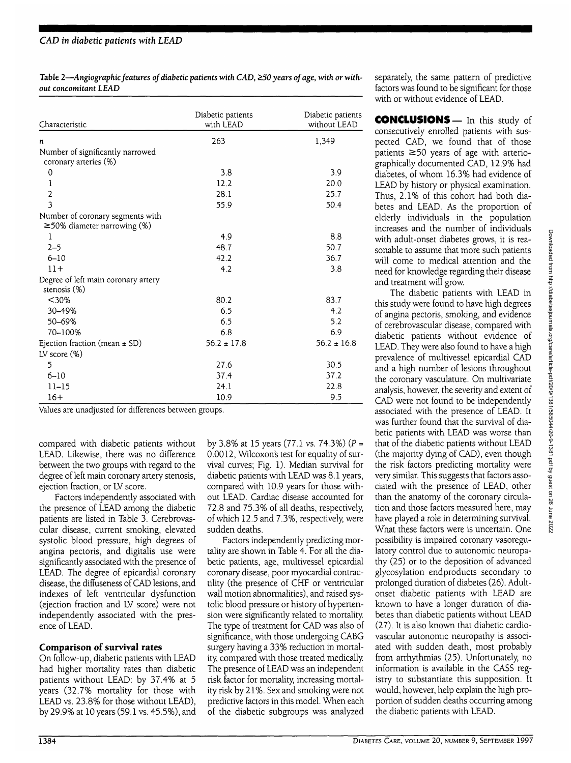| Table 2—Angiographic features of diabetic patients with CAD, ≥50 years of age, with or with- |  |
|----------------------------------------------------------------------------------------------|--|
| out concomitant LEAD                                                                         |  |

| Characteristic                                                  | Diabetic patients<br>with LEAD | Diabetic patients<br>without LEAD |
|-----------------------------------------------------------------|--------------------------------|-----------------------------------|
| n                                                               | 263                            | 1,349                             |
| Number of significantly narrowed<br>coronary arteries (%)       |                                |                                   |
| 0                                                               | 3.8                            | 3.9                               |
| 1                                                               | 12.2                           | 20.0                              |
| $\overline{\mathbf{c}}$                                         | 28.1                           | 25.7                              |
| $\overline{\mathbf{3}}$                                         | 55.9                           | 50.4                              |
| Number of coronary segments with<br>≥50% diameter narrowing (%) |                                |                                   |
| 1                                                               | 4.9                            | 8.8                               |
| $2 - 5$                                                         | 48.7                           | 50.7                              |
| $6 - 10$                                                        | 42.2                           | 36.7                              |
| $11+$                                                           | 4.2                            | 3.8                               |
| Degree of left main coronary artery<br>stenosis $(\%)$          |                                |                                   |
| $<$ 30%                                                         | 80.2                           | 83.7                              |
| 30-49%                                                          | 6.5                            | 4.2                               |
| 50-69%                                                          | 6.5                            | 5.2                               |
| 70-100%                                                         | 6.8                            | 6.9                               |
| Ejection fraction (mean ± SD)<br>LV score (%)                   | $56.2 \pm 17.8$                | $56.2 \pm 16.8$                   |
| 5                                                               | 27.6                           | 30.5                              |
| $6 - 10$                                                        | 37.4                           | 37.2                              |
| $11 - 15$                                                       | 24.1                           | 22.8                              |
| $16+$                                                           | 10.9                           | 9.5                               |

Values are unadjusted for differences between groups.

compared with diabetic patients without LEAD. Likewise, there was no difference between the two groups with regard to the degree of left main coronary artery stenosis, ejection fraction, or LV score.

Factors independently associated with the presence of LEAD among the diabetic patients are listed in Table 3. Cerebrovascular disease, current smoking, elevated systolic blood pressure, high degrees of angina pectoris, and digitalis use were significantly associated with the presence of LEAD. The degree of epicardial coronary disease, the diffuseness of CAD lesions, and indexes of left ventricular dysfunction (ejection fraction and LV score) were not independently associated with the presence of LEAD.

## **Comparison of survival rates**

On follow-up, diabetic patients with LEAD had higher mortality rates than diabetic patients without LEAD: by 37.4% at 5 years (32.7% mortality for those with LEAD vs. 23.8% for those without LEAD), by 29.9% at 10 years (59.1 vs. 45.5%), and by 3.8% at 15 years (77.1 vs. 74.3%) ( $P =$ 0.0012, Wilcoxon's test for equality of survival curves; Fig. 1). Median survival for diabetic patients with LEAD was 8.1 years, compared with 10.9 years for those without LEAD. Cardiac disease accounted for 72.8 and 75.3% of all deaths, respectively, of which 12.5 and 7.3%, respectively, were sudden deaths.

Factors independently predicting mortality are shown in Table 4. For all the diabetic patients, age, multivessel epicardial coronary disease, poor myocardial contractility (the presence of CHF or ventricular wall motion abnormalities), and raised systolic blood pressure or history of hypertension were significantly related to mortality. The type of treatment for CAD was also of significance, with those undergoing CABG surgery having a 33% reduction in mortality, compared with those treated medically. The presence of LEAD was an independent risk factor for mortality, increasing mortality risk by 21%. Sex and smoking were not predictive factors in this model. When each of the diabetic subgroups was analyzed

separately, the same pattern of predictive factors was found to be significant for those with or without evidence of LEAD.

**CONCLUSIONS—** In this study of consecutively enrolled patients with suspected CAD, we found that of those patients  $\geq 50$  years of age with arteriographically documented CAD, 12.9% had diabetes, of whom 16.3% had evidence of LEAD by history or physical examination. Thus, 2.1% of this cohort had both diabetes and LEAD. As the proportion of elderly individuals in the population increases and the number of individuals with adult-onset diabetes grows, it is reasonable to assume that more such patients will come to medical attention and the need for knowledge regarding their disease and treatment will grow.

The diabetic patients with LEAD in this study were found to have high degrees of angina pectoris, smoking, and evidence of cerebrovascular disease, compared with diabetic patients without evidence of LEAD. They were also found to have a high prevalence of multivessel epicardial CAD and a high number of lesions throughout the coronary vasculature. On multivariate analysis, however, the severity and extent of CAD were not found to be independently associated with the presence of LEAD. It was further found that the survival of diabetic patients with LEAD was worse than that of the diabetic patients without LEAD (the majority dying of CAD), even though the risk factors predicting mortality were very similar. This suggests that factors associated with the presence of LEAD, other than the anatomy of the coronary circulation and those factors measured here, may have played a role in determining survival. What these factors were is uncertain. One possibility is impaired coronary vasoregulatory control due to autonomic neuropathy (25) or to the deposition of advanced glycosylation endproducts secondary to prolonged duration of diabetes (26). Adultonset diabetic patients with LEAD are known to have a longer duration of diabetes than diabetic patients without LEAD (27). It is also known that diabetic cardiovascular autonomic neuropathy is associated with sudden death, most probably from arrhythmias (25). Unfortunately, no information is available in the CASS registry to substantiate this supposition. It would, however, help explain the high proportion of sudden deaths occurring among the diabetic patients with LEAD.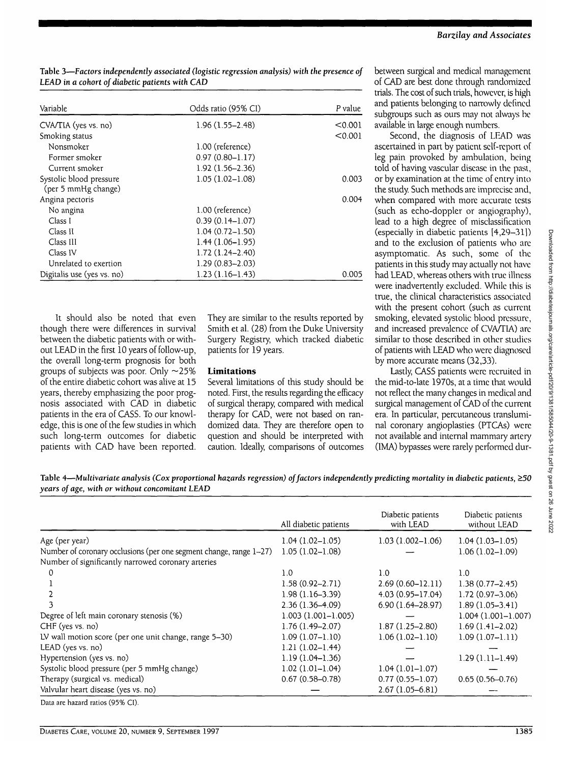| Variable                   | Odds ratio (95% CI) | P value |
|----------------------------|---------------------|---------|
| CVA/TIA (yes vs. no)       | $1.96(1.55 - 2.48)$ | < 0.001 |
| Smoking status             |                     | < 0.001 |
| Nonsmoker                  | 1.00 (reference)    |         |
| Former smoker              | $0.97(0.80 - 1.17)$ |         |
| Current smoker             | $1.92(1.56 - 2.36)$ |         |
| Systolic blood pressure    | $1.05(1.02 - 1.08)$ | 0.003   |
| (per 5 mmHg change)        |                     |         |
| Angina pectoris            |                     | 0.004   |
| No angina                  | 1.00 (reference)    |         |
| Class I                    | $0.39(0.14 - 1.07)$ |         |
| Class II                   | $1.04(0.72 - 1.50)$ |         |
| Class III                  | $1.44(1.06 - 1.95)$ |         |
| Class IV                   | $1.72(1.24 - 2.40)$ |         |
| Unrelated to exertion      | $1.29(0.83 - 2.03)$ |         |
| Digitalis use (yes vs. no) | $1.23(1.16-1.43)$   | 0.005   |

Table 3—*Factors independently associated (logistic regression analysis) with the presence of LEAD in a cohort of diabetic patients with CAD*

It should also be noted that even though there were differences in survival between the diabetic patients with or without LEAD in the first 10 years of follow-up, the overall long-term prognosis for both groups of subjects was poor. Only  $\sim$ 25% of the entire diabetic cohort was alive at 15 years, thereby emphasizing the poor prognosis associated with CAD in diabetic patients in the era of CASS. To our knowledge, this is one of the few studies in which such long-term outcomes for diabetic patients with CAD have been reported.

They are similar to the results reported by Smith et al. (28) from the Duke University Surgery Registry, which tracked diabetic patients for 19 years.

## **Limitations**

Several limitations of this study should be noted. First, the results regarding the efficacy of surgical therapy, compared with medical therapy for CAD, were not based on randomized data. They are therefore open to question and should be interpreted with caution. Ideally, comparisons of outcomes between surgical and medical management of CAD are best done through randomized trials. The cost of such trials, however, is high and patients belonging to narrowly defined subgroups such as ours may not always be available in large enough numbers.

Second, the diagnosis of LEAD was ascertained in part by patient self-report of leg pain provoked by ambulation, being told of having vascular disease in the past, or by examination at the time of entry into the study. Such methods are imprecise and, when compared with more accurate tests (such as echo-doppler or angiography), lead to a high degree of misclassification (especially in diabetic patients [4,29-31]) and to the exclusion of patients who are asymptomatic. As such, some of the patients in this study may actually not have had LEAD, whereas others with true illness were inadvertently excluded. While this is true, the clinical characteristics associated with the present cohort (such as current smoking, elevated systolic blood pressure, and increased prevalence of CVA/TIA) arc similar to those described in other studies of patients with LEAD who were diagnosed by more accurate means (32,33).

Lastly, CASS patients were recruited in the mid-to-late 1970s, at a time that would not reflect the many changes in medical and surgical management of CAD of the current era. In particular, percutaneous transluminal coronary angioplasties (PTCAs) were not available and internal mammary artery (IMA) bypasses were rarely performed dur-

Table 4—*Multivariate analysis (Cox proportional hazards regression) of factors independently predicting mortality in diabetic patients,* >50 *years of age, with or without concomitant LEAD*

|                                                                    | All diabetic patients  | Diabetic patients<br>with LEAD | Diabetic patients<br>without LEAD |
|--------------------------------------------------------------------|------------------------|--------------------------------|-----------------------------------|
| Age (per year)                                                     | $1.04(1.02 - 1.05)$    | $1.03(1.002 - 1.06)$           | $1.04(1.03 - 1.05)$               |
| Number of coronary occlusions (per one segment change, range 1-27) | $1.05(1.02 - 1.08)$    |                                | $1.06(1.02 - 1.09)$               |
| Number of significantly narrowed coronary arteries                 |                        |                                |                                   |
| 0                                                                  | 1.0                    | 1.0                            | 1.0                               |
|                                                                    | $1.58(0.92 - 2.71)$    | $2.69(0.60 - 12.11)$           | $1.38(0.77-2.45)$                 |
|                                                                    | $1.98(1.16-3.39)$      | $4.03(0.95 - 17.04)$           | $1.72(0.97 - 3.06)$               |
|                                                                    | $2.36(1.36-4.09)$      | $6.90(1.64 - 28.97)$           | $1.89(1.05 - 3.41)$               |
| Degree of left main coronary stenosis (%)                          | $1.003(1.001 - 1.005)$ |                                | $1.004(1.001 - 1.007)$            |
| CHF (yes vs. no)                                                   | $1.76(1.49 - 2.07)$    | $1.87(1.25 - 2.80)$            | $1.69(1.41 - 2.02)$               |
| LV wall motion score (per one unit change, range 5-30)             | $1.09(1.07-1.10)$      | $1.06(1.02 - 1.10)$            | $1.09(1.07 - 1.11)$               |
| LEAD (yes vs. no)                                                  | $1.21(1.02 - 1.44)$    |                                |                                   |
| Hypertension (yes vs. no)                                          | $1.19(1.04-1.36)$      |                                | $1.29(1.11-1.49)$                 |
| Systolic blood pressure (per 5 mmHg change)                        | $1.02(1.01-1.04)$      | $1.04(1.01-1.07)$              |                                   |
| Therapy (surgical vs. medical)                                     | $0.67(0.58 - 0.78)$    | $0.77(0.55 - 1.07)$            | $0.65(0.56 - 0.76)$               |
| Valvular heart disease (yes vs. no)                                |                        | $2.67(1.05 - 6.81)$            |                                   |
| Data are hazard ratios (95% CI).                                   |                        |                                |                                   |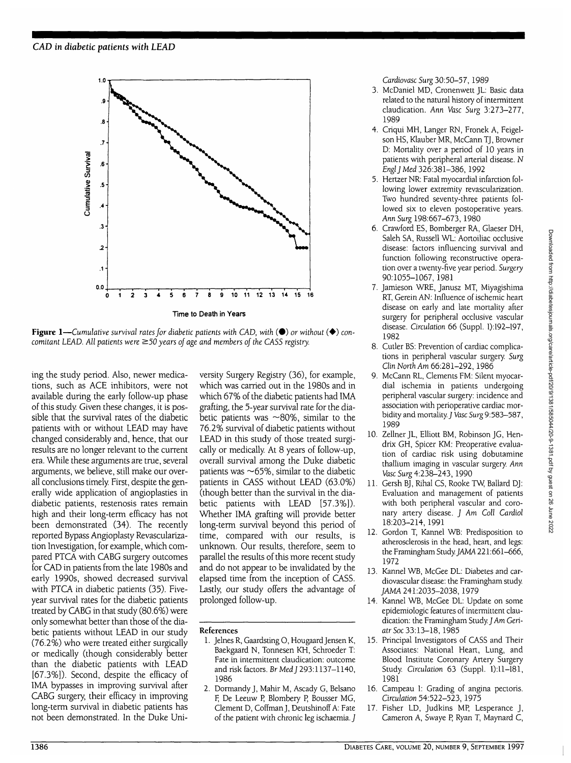*CAD in diabetic patients* **with** *LEAD*



**Figure 1—***Cumulative survival rates for diabetic patients with CAD, with* ( $\bullet$ ) *or without* ( $\bullet$ ) *concomitant LEAD. All patients were ^50 years oj age and members oj the CASS registry.*

ing the study period. Also, newer medications, such as ACE inhibitors, were not available during the early follow-up phase of this study. Given these changes, it is possible that the survival rates of the diabetic patients with or without LEAD may have changed considerably and, hence, that our results are no longer relevant to the current era. While these arguments are true, several arguments, we believe, still make our overall conclusions timely. First, despite the generally wide application of angioplasties in diabetic patients, restenosis rates remain high and their long-term efficacy has not been demonstrated (34). The recently reported Bypass Angioplasty Revascularization Investigation, for example, which compared PTCA with CABG surgery outcomes for CAD in patients from the late 1980s and early 1990s, showed decreased survival with PTCA in diabetic patients (35). Fiveyear survival rates for the diabetic patients treated by CABG in that study (80.6%) were only somewhat better than those of the diabetic patients without LEAD in our study (76.2%) who were treated either surgically or medically (though considerably better than the diabetic patients with LEAD [67.3%]). Second, despite the efficacy of IMA bypasses in improving survival after CABG surgery, their efficacy in improving long-term survival in diabetic patients has not been demonstrated. In the Duke University Surgery Registry (36), for example, which was carried out in the 1980s and in which 67% of the diabetic patients had IMA grafting, the 5-year survival rate for the diabetic patients was  $\sim$ 80%, similar to the 76.2% survival of diabetic patients without LEAD in this study of those treated surgically or medically. At 8 years of follow-up, overall survival among the Duke diabetic patients was  $\sim$  65%, similar to the diabetic patients in CASS without LEAD (63.0%) (though better than the survival in the diabetic patients with LEAD [57.3%]). Whether IMA grafting will provide better long-term survival beyond this period of time, compared with our results, is unknown. Our results, therefore, seem to parallel the results of this more recent study and do not appear to be invalidated by the elapsed time from the inception of CASS. Lastly, our study offers the advantage of prolonged follow-up.

#### **References**

- 1. Jelnes R, Gaardsting O, Hougaard Jensen K, Baekgaard N, Tonnesen KH, Schroeder T: Fate in intermittent claudication: outcome and risk factors. *Br Med]* 293:1137-1140, 1986
- 2. Dormandy J, Mahir M, Ascady G, Belsano F, De Leeuw P, Blombery P, Bousser MG, Clement D, Coffman J, Deutshinoff A: Fate of the patient with chronic leg ischaemia. J

*Cardiovasc Surg* 30:50-57,1989

- 3. McDaniel MD, Cronenwett JL: Basic data related to the natural history of intermittent claudication. Ann Vasc Surg 3:273-277, 1989
- 4. Criqui MH, Langer RN, Fronek A, Feigelson HS, Klauber MR, McCann TJ, Browner D: Mortality over a period of 10 years in patients with peripheral arterial disease. *N Engl] Med* 326:381-386,1992
- 5. Hertzer NR: Fatal myocardial infarction following lower extremity revascularization. Two hundred seventy-three patients followed six to eleven postoperative years. *Ann Surg* 198:667-673, 1980
- 6. Crawford ES, Bomberger RA, Glaeser DH, Saleh SA, Russell WL: Aortoiliac occlusive disease: factors influencing survival and function following reconstructive operation over a twenty-five year period. Surgery 90:1055-1067,1981
- 7. Jamieson WRE, Janusz MT, Miyagishima RT, Gerein AN: Influence of ischemic heart disease on early and late mortality after surgery for peripheral occlusive vascular disease. *Circulation* 66 (Suppl. **I):192—197,** 1982
- 8. Cutler BS: Prevention of cardiac complications in peripheral vascular surgery. *Surg Clin North Am* 66:281-292, 1986
- 9. McCann RL, Clements FM: Silent myocardial ischemia in patients undergoing peripheral vascular surgery: incidence and association with perioperative cardiac morbidity and mortality. J Vase *Surg* 9:583-587, 1989
- 10. Zellner JL, Elliott BM, Robinson JG, Hendrix GH, Spicer KM: Preoperative evaluation of cardiac risk using dobutamine thallium imaging in vascular surgery. *Ann Vase Surg* 4:238-243, 1990
- 11. Gersh BJ, Rihal CS, Rooke TW, Ballard DJ: Evaluation and management of patients with both peripheral vascular and coronary artery disease. J *Am Coll Cardiol* 18:203-214, 1991
- 12. Gordon T, Kannel WB: Predisposition to atherosclerosis in the head, heart, and legs: the Framingham Study. JAMA 221:661-666, 1972
- 13. Kannel WB, McGee DL: Diabetes and cardiovascular disease: the Framingham study. JAMA 241:2035-2038, 1979
- 14. Kannel WB, McGee DL: Update on some epidemiologic features of intermittent claudication: the Framingham Study. J *Am GeriatrSoc* 33:13-18, 1985
- 15. Principal Investigators of CASS and Their Associates: National Heart, Lung, and Blood Institute Coronary Artery Surgery Study. *Circulation* 63 (Suppl. **1):11—181,** 1981
- 16. Campeau 1: Grading of angina pectoris. *Circulation* 54:522-523,1975
- 17. Fisher LD, Judkins MP, Lesperance J, Cameron A, Swaye P, Ryan T, Maynard C,